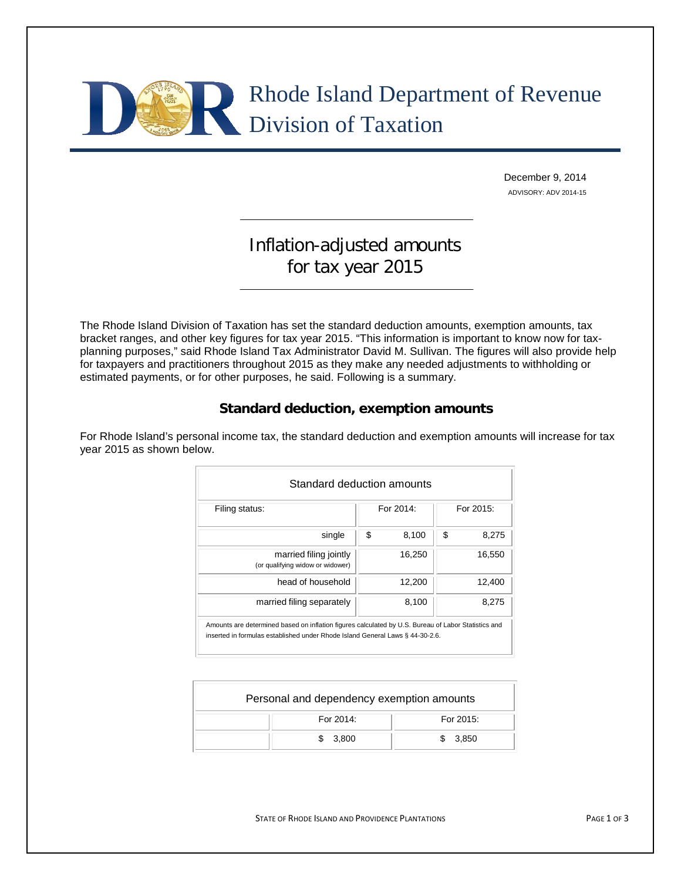# Rhode Island Department of Revenue Division of Taxation

December 9, 2014 ADVISORY: ADV 2014-15

## Inflation-adjusted amounts for tax year 2015

The Rhode Island Division of Taxation has set the standard deduction amounts, exemption amounts, tax bracket ranges, and other key figures for tax year 2015. "This information is important to know now for taxplanning purposes," said Rhode Island Tax Administrator David M. Sullivan. The figures will also provide help for taxpayers and practitioners throughout 2015 as they make any needed adjustments to withholding or estimated payments, or for other purposes, he said. Following is a summary.

### **Standard deduction, exemption amounts**

For Rhode Island's personal income tax, the standard deduction and exemption amounts will increase for tax year 2015 as shown below.

| Filing status:                                             | For 2014:   | For 2015: |        |
|------------------------------------------------------------|-------------|-----------|--------|
| single                                                     | \$<br>8,100 | \$        | 8,275  |
| married filing jointly<br>(or qualifying widow or widower) | 16,250      |           | 16,550 |
| head of household                                          | 12,200      |           | 12,400 |
| married filing separately                                  | 8,100       |           | 8.275  |

| Personal and dependency exemption amounts |           |
|-------------------------------------------|-----------|
| For 2014:                                 | For 2015: |
| 3,800                                     | \$3.850   |

STATE OF RHODE ISLAND AND PROVIDENCE PLANTATIONS **FACE 1 OF 3** PAGE 1 OF 3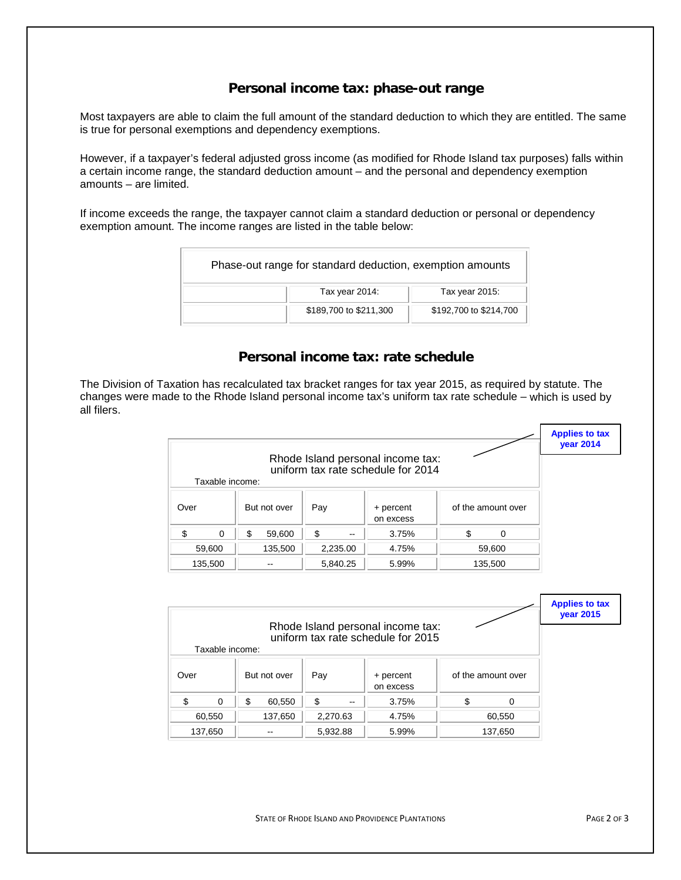#### **Personal income tax: phase-out range**

Most taxpayers are able to claim the full amount of the standard deduction to which they are entitled. The same is true for personal exemptions and dependency exemptions.

However, if a taxpayer's federal adjusted gross income (as modified for Rhode Island tax purposes) falls within a certain income range, the standard deduction amount – and the personal and dependency exemption amounts – are limited.

If income exceeds the range, the taxpayer cannot claim a standard deduction or personal or dependency exemption amount. The income ranges are listed in the table below:

| Phase-out range for standard deduction, exemption amounts |                        |                        |  |  |  |  |
|-----------------------------------------------------------|------------------------|------------------------|--|--|--|--|
|                                                           | Tax year 2014:         | Tax year 2015:         |  |  |  |  |
|                                                           | \$189,700 to \$211,300 | \$192,700 to \$214,700 |  |  |  |  |

#### **Personal income tax: rate schedule**

The Division of Taxation has recalculated tax bracket ranges for tax year 2015, as required by statute. The changes were made to the Rhode Island personal income tax's uniform tax rate schedule – which is used by all filers.

|                      |             |                               | Rhode Island personal income tax: |                    | <b>Applies to tax</b><br><b>year 2014</b> |
|----------------------|-------------|-------------------------------|-----------------------------------|--------------------|-------------------------------------------|
|                      |             |                               |                                   |                    |                                           |
| Taxable income:      |             |                               |                                   |                    |                                           |
| Over<br>But not over |             | Pay<br>+ percent<br>on excess |                                   | of the amount over |                                           |
| ፍ<br>$\Omega$        | S<br>59,600 | \$<br>$\sim$ $\sim$           | 3.75%                             | $\Omega$           |                                           |
| 59,600               | 135,500     | 2,235.00                      | 4.75%                             | 59,600             |                                           |
| 135,500<br>--        |             | 5,840.25                      | 5.99%                             | 135,500            |                                           |

| Rhode Island personal income tax: |         |          |          |       |                        |        |                    |  | <b>Applies to tax</b><br><b>year 2015</b> |
|-----------------------------------|---------|----------|----------|-------|------------------------|--------|--------------------|--|-------------------------------------------|
|                                   |         |          |          |       |                        |        |                    |  |                                           |
| Taxable income:                   |         |          |          |       |                        |        |                    |  |                                           |
| Over<br>But not over              |         |          | Pay      |       | + percent<br>on excess |        | of the amount over |  |                                           |
| \$.<br>$\Omega$                   |         | \$       | 60,550   | S     | --                     | 3.75%  | S                  |  |                                           |
| 60,550                            | 137,650 |          | 2,270.63 |       | 4.75%                  | 60,550 |                    |  |                                           |
| 137,650<br>--                     |         | 5,932.88 |          | 5.99% | 137,650                |        |                    |  |                                           |